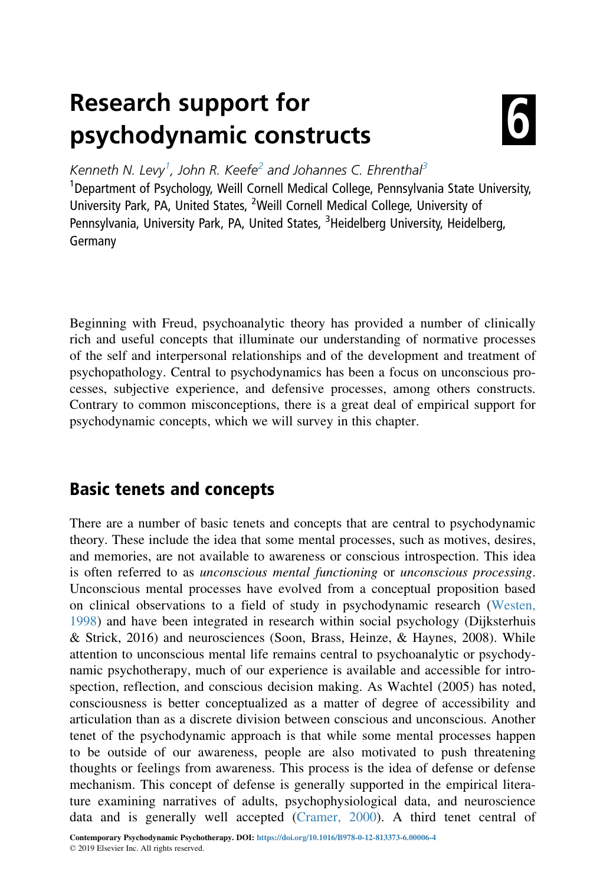# Research support for<br>psychodynamic constructs



Kenneth N. Levy<sup>1</sup>, John R. Keefe<sup>2</sup> and Johannes C. Ehrenthal<sup>3</sup>

<sup>1</sup>Department of Psychology, Weill Cornell Medical College, Pennsylvania State University, University Park, PA, United States, <sup>2</sup>Weill Cornell Medical College, University of Pennsylvania, University Park, PA, United States, <sup>3</sup>Heidelberg University, Heidelberg, Germany

Beginning with Freud, psychoanalytic theory has provided a number of clinically rich and useful concepts that illuminate our understanding of normative processes of the self and interpersonal relationships and of the development and treatment of psychopathology. Central to psychodynamics has been a focus on unconscious processes, subjective experience, and defensive processes, among others constructs. Contrary to common misconceptions, there is a great deal of empirical support for psychodynamic concepts, which we will survey in this chapter.

# Basic tenets and concepts

There are a number of basic tenets and concepts that are central to psychodynamic theory. These include the idea that some mental processes, such as motives, desires, and memories, are not available to awareness or conscious introspection. This idea is often referred to as unconscious mental functioning or unconscious processing. Unconscious mental processes have evolved from a conceptual proposition based on clinical observations to a field of study in psychodynamic research (Westen, 1998) and have been integrated in research within social psychology (Dijksterhuis & Strick, 2016) and neurosciences (Soon, Brass, Heinze, & Haynes, 2008). While attention to unconscious mental life remains central to psychoanalytic or psychodynamic psychotherapy, much of our experience is available and accessible for introspection, reflection, and conscious decision making. As Wachtel (2005) has noted, consciousness is better conceptualized as a matter of degree of accessibility and articulation than as a discrete division between conscious and unconscious. Another tenet of the psychodynamic approach is that while some mental processes happen to be outside of our awareness, people are also motivated to push threatening thoughts or feelings from awareness. This process is the idea of defense or defense mechanism. This concept of defense is generally supported in the empirical literature examining narratives of adults, psychophysiological data, and neuroscience data and is generally well accepted (Cramer, 2000). A third tenet central of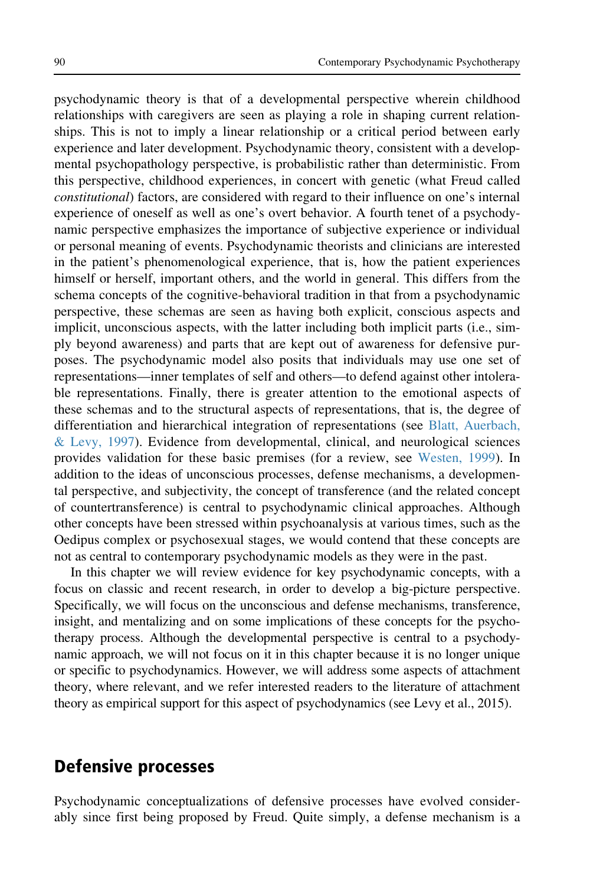psychodynamic theory is that of a developmental perspective wherein childhood relationships with caregivers are seen as playing a role in shaping current relationships. This is not to imply a linear relationship or a critical period between early experience and later development. Psychodynamic theory, consistent with a developmental psychopathology perspective, is probabilistic rather than deterministic. From this perspective, childhood experiences, in concert with genetic (what Freud called constitutional) factors, are considered with regard to their influence on one's internal experience of oneself as well as one's overt behavior. A fourth tenet of a psychodynamic perspective emphasizes the importance of subjective experience or individual or personal meaning of events. Psychodynamic theorists and clinicians are interested in the patient's phenomenological experience, that is, how the patient experiences himself or herself, important others, and the world in general. This differs from the schema concepts of the cognitive-behavioral tradition in that from a psychodynamic perspective, these schemas are seen as having both explicit, conscious aspects and implicit, unconscious aspects, with the latter including both implicit parts (i.e., simply beyond awareness) and parts that are kept out of awareness for defensive purposes. The psychodynamic model also posits that individuals may use one set of representations—inner templates of self and others—to defend against other intolerable representations. Finally, there is greater attention to the emotional aspects of these schemas and to the structural aspects of representations, that is, the degree of differentiation and hierarchical integration of representations (see Blatt, Auerbach, & Levy, 1997). Evidence from developmental, clinical, and neurological sciences provides validation for these basic premises (for a review, see Westen, 1999). In addition to the ideas of unconscious processes, defense mechanisms, a developmental perspective, and subjectivity, the concept of transference (and the related concept of countertransference) is central to psychodynamic clinical approaches. Although other concepts have been stressed within psychoanalysis at various times, such as the Oedipus complex or psychosexual stages, we would contend that these concepts are not as central to contemporary psychodynamic models as they were in the past.

In this chapter we will review evidence for key psychodynamic concepts, with a focus on classic and recent research, in order to develop a big-picture perspective. Specifically, we will focus on the unconscious and defense mechanisms, transference, insight, and mentalizing and on some implications of these concepts for the psychotherapy process. Although the developmental perspective is central to a psychodynamic approach, we will not focus on it in this chapter because it is no longer unique or specific to psychodynamics. However, we will address some aspects of attachment theory, where relevant, and we refer interested readers to the literature of attachment theory as empirical support for this aspect of psychodynamics (see Levy et al., 2015).

### Defensive processes

Psychodynamic conceptualizations of defensive processes have evolved considerably since first being proposed by Freud. Quite simply, a defense mechanism is a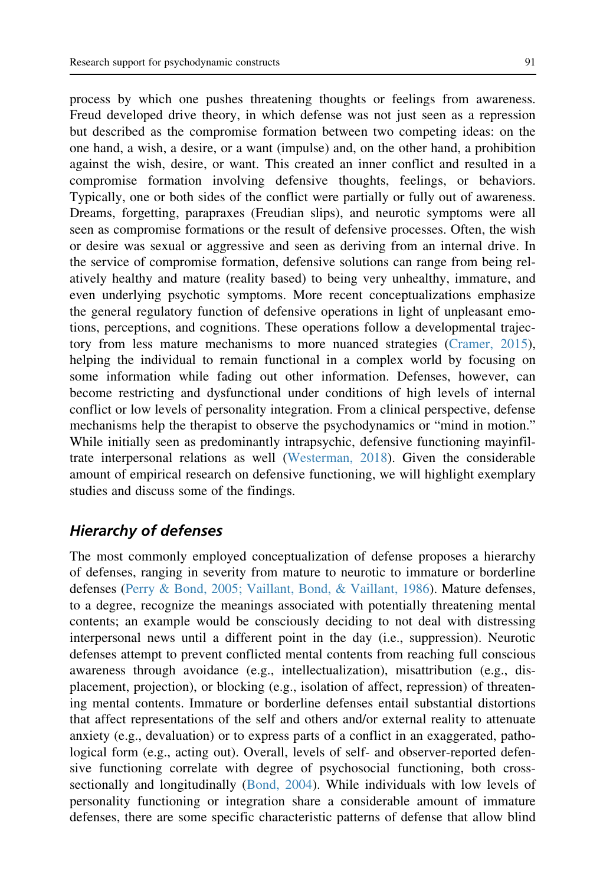process by which one pushes threatening thoughts or feelings from awareness. Freud developed drive theory, in which defense was not just seen as a repression but described as the compromise formation between two competing ideas: on the one hand, a wish, a desire, or a want (impulse) and, on the other hand, a prohibition against the wish, desire, or want. This created an inner conflict and resulted in a compromise formation involving defensive thoughts, feelings, or behaviors. Typically, one or both sides of the conflict were partially or fully out of awareness. Dreams, forgetting, parapraxes (Freudian slips), and neurotic symptoms were all seen as compromise formations or the result of defensive processes. Often, the wish or desire was sexual or aggressive and seen as deriving from an internal drive. In the service of compromise formation, defensive solutions can range from being relatively healthy and mature (reality based) to being very unhealthy, immature, and even underlying psychotic symptoms. More recent conceptualizations emphasize the general regulatory function of defensive operations in light of unpleasant emotions, perceptions, and cognitions. These operations follow a developmental trajectory from less mature mechanisms to more nuanced strategies (Cramer, 2015), helping the individual to remain functional in a complex world by focusing on some information while fading out other information. Defenses, however, can become restricting and dysfunctional under conditions of high levels of internal conflict or low levels of personality integration. From a clinical perspective, defense mechanisms help the therapist to observe the psychodynamics or "mind in motion." While initially seen as predominantly intrapsychic, defensive functioning mayinfiltrate interpersonal relations as well (Westerman, 2018). Given the considerable amount of empirical research on defensive functioning, we will highlight exemplary studies and discuss some of the findings.

#### Hierarchy of defenses

The most commonly employed conceptualization of defense proposes a hierarchy of defenses, ranging in severity from mature to neurotic to immature or borderline defenses (Perry & Bond, 2005; Vaillant, Bond, & Vaillant, 1986). Mature defenses, to a degree, recognize the meanings associated with potentially threatening mental contents; an example would be consciously deciding to not deal with distressing interpersonal news until a different point in the day (i.e., suppression). Neurotic defenses attempt to prevent conflicted mental contents from reaching full conscious awareness through avoidance (e.g., intellectualization), misattribution (e.g., displacement, projection), or blocking (e.g., isolation of affect, repression) of threatening mental contents. Immature or borderline defenses entail substantial distortions that affect representations of the self and others and/or external reality to attenuate anxiety (e.g., devaluation) or to express parts of a conflict in an exaggerated, pathological form (e.g., acting out). Overall, levels of self- and observer-reported defensive functioning correlate with degree of psychosocial functioning, both crosssectionally and longitudinally (Bond, 2004). While individuals with low levels of personality functioning or integration share a considerable amount of immature defenses, there are some specific characteristic patterns of defense that allow blind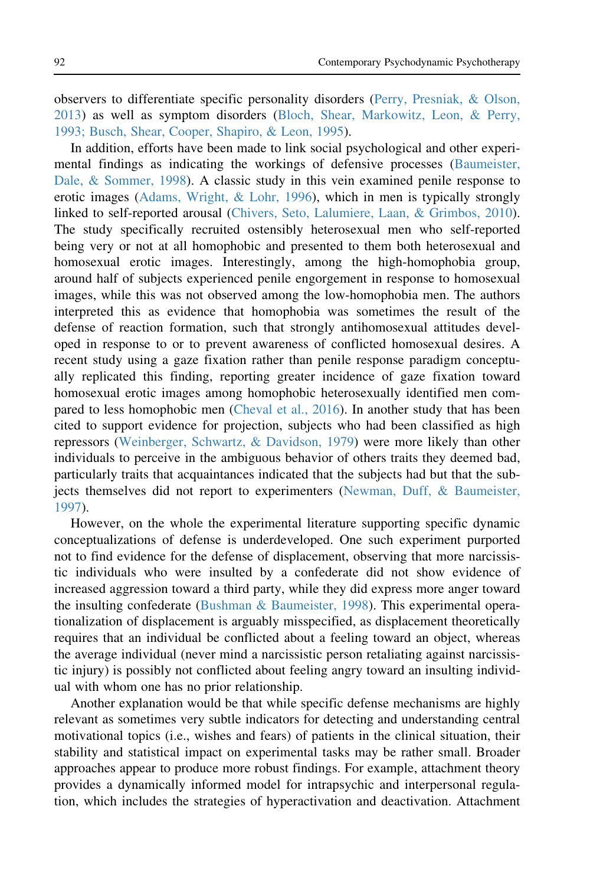observers to differentiate specific personality disorders (Perry, Presniak, & Olson, 2013) as well as symptom disorders (Bloch, Shear, Markowitz, Leon, & Perry, 1993; Busch, Shear, Cooper, Shapiro, & Leon, 1995).

In addition, efforts have been made to link social psychological and other experimental findings as indicating the workings of defensive processes (Baumeister, Dale, & Sommer, 1998). A classic study in this vein examined penile response to erotic images (Adams, Wright, & Lohr, 1996), which in men is typically strongly linked to self-reported arousal (Chivers, Seto, Lalumiere, Laan, & Grimbos, 2010). The study specifically recruited ostensibly heterosexual men who self-reported being very or not at all homophobic and presented to them both heterosexual and homosexual erotic images. Interestingly, among the high-homophobia group, around half of subjects experienced penile engorgement in response to homosexual images, while this was not observed among the low-homophobia men. The authors interpreted this as evidence that homophobia was sometimes the result of the defense of reaction formation, such that strongly antihomosexual attitudes developed in response to or to prevent awareness of conflicted homosexual desires. A recent study using a gaze fixation rather than penile response paradigm conceptually replicated this finding, reporting greater incidence of gaze fixation toward homosexual erotic images among homophobic heterosexually identified men compared to less homophobic men (Cheval et al., 2016). In another study that has been cited to support evidence for projection, subjects who had been classified as high repressors (Weinberger, Schwartz, & Davidson, 1979) were more likely than other individuals to perceive in the ambiguous behavior of others traits they deemed bad, particularly traits that acquaintances indicated that the subjects had but that the subjects themselves did not report to experimenters (Newman, Duff, & Baumeister, 1997).

However, on the whole the experimental literature supporting specific dynamic conceptualizations of defense is underdeveloped. One such experiment purported not to find evidence for the defense of displacement, observing that more narcissistic individuals who were insulted by a confederate did not show evidence of increased aggression toward a third party, while they did express more anger toward the insulting confederate (Bushman & Baumeister, 1998). This experimental operationalization of displacement is arguably misspecified, as displacement theoretically requires that an individual be conflicted about a feeling toward an object, whereas the average individual (never mind a narcissistic person retaliating against narcissistic injury) is possibly not conflicted about feeling angry toward an insulting individual with whom one has no prior relationship.

Another explanation would be that while specific defense mechanisms are highly relevant as sometimes very subtle indicators for detecting and understanding central motivational topics (i.e., wishes and fears) of patients in the clinical situation, their stability and statistical impact on experimental tasks may be rather small. Broader approaches appear to produce more robust findings. For example, attachment theory provides a dynamically informed model for intrapsychic and interpersonal regulation, which includes the strategies of hyperactivation and deactivation. Attachment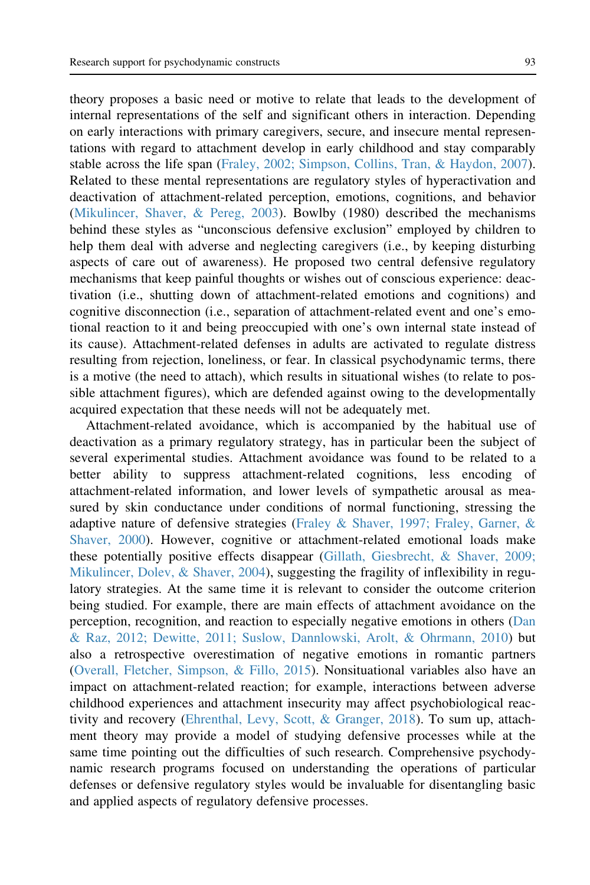theory proposes a basic need or motive to relate that leads to the development of internal representations of the self and significant others in interaction. Depending on early interactions with primary caregivers, secure, and insecure mental representations with regard to attachment develop in early childhood and stay comparably stable across the life span (Fraley, 2002; Simpson, Collins, Tran, & Haydon, 2007). Related to these mental representations are regulatory styles of hyperactivation and deactivation of attachment-related perception, emotions, cognitions, and behavior (Mikulincer, Shaver, & Pereg, 2003). Bowlby (1980) described the mechanisms behind these styles as "unconscious defensive exclusion" employed by children to help them deal with adverse and neglecting caregivers (i.e., by keeping disturbing aspects of care out of awareness). He proposed two central defensive regulatory

mechanisms that keep painful thoughts or wishes out of conscious experience: deactivation (i.e., shutting down of attachment-related emotions and cognitions) and cognitive disconnection (i.e., separation of attachment-related event and one's emotional reaction to it and being preoccupied with one's own internal state instead of its cause). Attachment-related defenses in adults are activated to regulate distress resulting from rejection, loneliness, or fear. In classical psychodynamic terms, there is a motive (the need to attach), which results in situational wishes (to relate to possible attachment figures), which are defended against owing to the developmentally acquired expectation that these needs will not be adequately met.

Attachment-related avoidance, which is accompanied by the habitual use of deactivation as a primary regulatory strategy, has in particular been the subject of several experimental studies. Attachment avoidance was found to be related to a better ability to suppress attachment-related cognitions, less encoding of attachment-related information, and lower levels of sympathetic arousal as measured by skin conductance under conditions of normal functioning, stressing the adaptive nature of defensive strategies (Fraley & Shaver, 1997; Fraley, Garner, & Shaver, 2000). However, cognitive or attachment-related emotional loads make these potentially positive effects disappear (Gillath, Giesbrecht, & Shaver, 2009; Mikulincer, Dolev, & Shaver, 2004), suggesting the fragility of inflexibility in regulatory strategies. At the same time it is relevant to consider the outcome criterion being studied. For example, there are main effects of attachment avoidance on the perception, recognition, and reaction to especially negative emotions in others (Dan & Raz, 2012; Dewitte, 2011; Suslow, Dannlowski, Arolt, & Ohrmann, 2010) but also a retrospective overestimation of negative emotions in romantic partners (Overall, Fletcher, Simpson, & Fillo, 2015). Nonsituational variables also have an impact on attachment-related reaction; for example, interactions between adverse childhood experiences and attachment insecurity may affect psychobiological reactivity and recovery (Ehrenthal, Levy, Scott, & Granger, 2018). To sum up, attachment theory may provide a model of studying defensive processes while at the same time pointing out the difficulties of such research. Comprehensive psychodynamic research programs focused on understanding the operations of particular defenses or defensive regulatory styles would be invaluable for disentangling basic and applied aspects of regulatory defensive processes.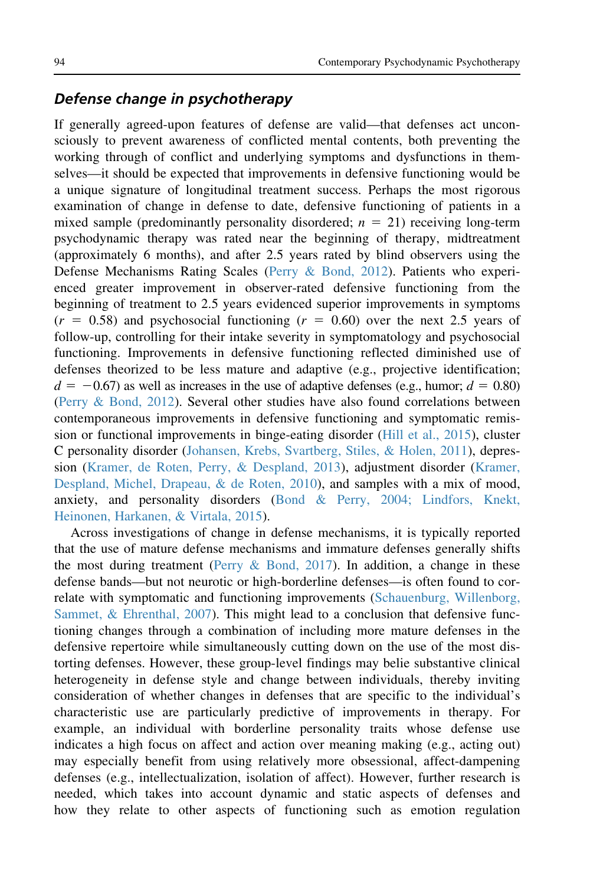### Defense change in psychotherapy

If generally agreed-upon features of defense are valid—that defenses act unconsciously to prevent awareness of conflicted mental contents, both preventing the working through of conflict and underlying symptoms and dysfunctions in themselves—it should be expected that improvements in defensive functioning would be a unique signature of longitudinal treatment success. Perhaps the most rigorous examination of change in defense to date, defensive functioning of patients in a mixed sample (predominantly personality disordered;  $n = 21$ ) receiving long-term psychodynamic therapy was rated near the beginning of therapy, midtreatment (approximately 6 months), and after 2.5 years rated by blind observers using the Defense Mechanisms Rating Scales (Perry & Bond, 2012). Patients who experienced greater improvement in observer-rated defensive functioning from the beginning of treatment to 2.5 years evidenced superior improvements in symptoms  $(r = 0.58)$  and psychosocial functioning  $(r = 0.60)$  over the next 2.5 years of follow-up, controlling for their intake severity in symptomatology and psychosocial functioning. Improvements in defensive functioning reflected diminished use of defenses theorized to be less mature and adaptive (e.g., projective identification;  $d = -0.67$ ) as well as increases in the use of adaptive defenses (e.g., humor;  $d = 0.80$ ) (Perry & Bond, 2012). Several other studies have also found correlations between contemporaneous improvements in defensive functioning and symptomatic remission or functional improvements in binge-eating disorder (Hill et al., 2015), cluster C personality disorder (Johansen, Krebs, Svartberg, Stiles, & Holen, 2011), depression (Kramer, de Roten, Perry, & Despland, 2013), adjustment disorder (Kramer, Despland, Michel, Drapeau, & de Roten, 2010), and samples with a mix of mood, anxiety, and personality disorders (Bond & Perry, 2004; Lindfors, Knekt, Heinonen, Harkanen, & Virtala, 2015).

Across investigations of change in defense mechanisms, it is typically reported that the use of mature defense mechanisms and immature defenses generally shifts the most during treatment (Perry  $\&$  Bond, 2017). In addition, a change in these defense bands—but not neurotic or high-borderline defenses—is often found to correlate with symptomatic and functioning improvements (Schauenburg, Willenborg, Sammet, & Ehrenthal, 2007). This might lead to a conclusion that defensive functioning changes through a combination of including more mature defenses in the defensive repertoire while simultaneously cutting down on the use of the most distorting defenses. However, these group-level findings may belie substantive clinical heterogeneity in defense style and change between individuals, thereby inviting consideration of whether changes in defenses that are specific to the individual's characteristic use are particularly predictive of improvements in therapy. For example, an individual with borderline personality traits whose defense use indicates a high focus on affect and action over meaning making (e.g., acting out) may especially benefit from using relatively more obsessional, affect-dampening defenses (e.g., intellectualization, isolation of affect). However, further research is needed, which takes into account dynamic and static aspects of defenses and how they relate to other aspects of functioning such as emotion regulation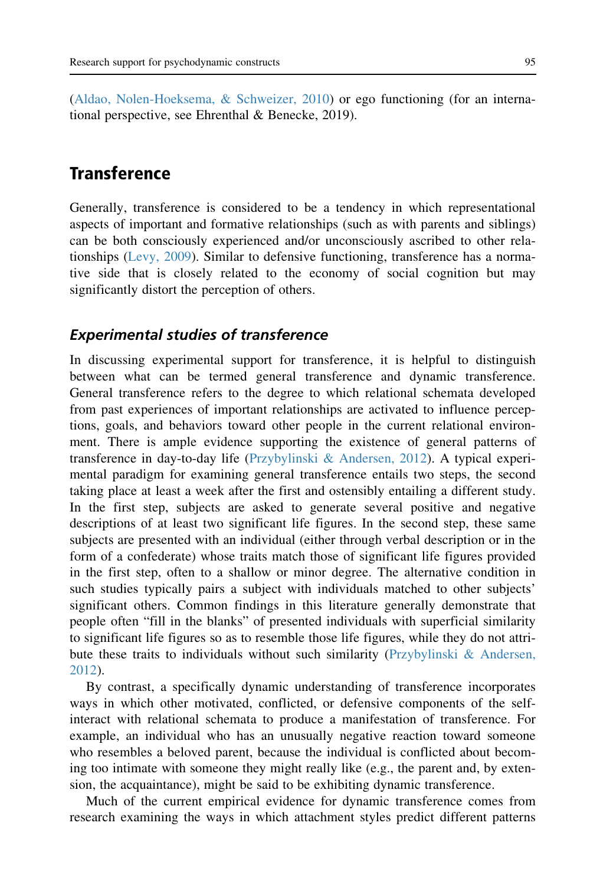(Aldao, Nolen-Hoeksema, & Schweizer, 2010) or ego functioning (for an international perspective, see Ehrenthal & Benecke, 2019).

## **Transference**

Generally, transference is considered to be a tendency in which representational aspects of important and formative relationships (such as with parents and siblings) can be both consciously experienced and/or unconsciously ascribed to other relationships (Levy, 2009). Similar to defensive functioning, transference has a normative side that is closely related to the economy of social cognition but may significantly distort the perception of others.

#### Experimental studies of transference

In discussing experimental support for transference, it is helpful to distinguish between what can be termed general transference and dynamic transference. General transference refers to the degree to which relational schemata developed from past experiences of important relationships are activated to influence perceptions, goals, and behaviors toward other people in the current relational environment. There is ample evidence supporting the existence of general patterns of transference in day-to-day life (Przybylinski & Andersen, 2012). A typical experimental paradigm for examining general transference entails two steps, the second taking place at least a week after the first and ostensibly entailing a different study. In the first step, subjects are asked to generate several positive and negative descriptions of at least two significant life figures. In the second step, these same subjects are presented with an individual (either through verbal description or in the form of a confederate) whose traits match those of significant life figures provided in the first step, often to a shallow or minor degree. The alternative condition in such studies typically pairs a subject with individuals matched to other subjects' significant others. Common findings in this literature generally demonstrate that people often "fill in the blanks" of presented individuals with superficial similarity to significant life figures so as to resemble those life figures, while they do not attribute these traits to individuals without such similarity (Przybylinski & Andersen, 2012).

By contrast, a specifically dynamic understanding of transference incorporates ways in which other motivated, conflicted, or defensive components of the selfinteract with relational schemata to produce a manifestation of transference. For example, an individual who has an unusually negative reaction toward someone who resembles a beloved parent, because the individual is conflicted about becoming too intimate with someone they might really like (e.g., the parent and, by extension, the acquaintance), might be said to be exhibiting dynamic transference.

Much of the current empirical evidence for dynamic transference comes from research examining the ways in which attachment styles predict different patterns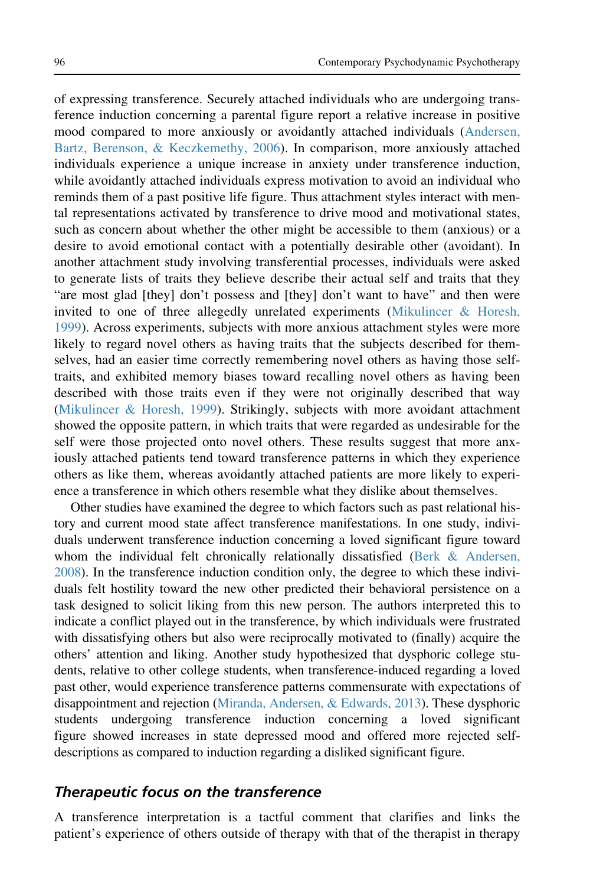of expressing transference. Securely attached individuals who are undergoing transference induction concerning a parental figure report a relative increase in positive mood compared to more anxiously or avoidantly attached individuals (Andersen, Bartz, Berenson, & Keczkemethy, 2006). In comparison, more anxiously attached individuals experience a unique increase in anxiety under transference induction, while avoidantly attached individuals express motivation to avoid an individual who reminds them of a past positive life figure. Thus attachment styles interact with mental representations activated by transference to drive mood and motivational states, such as concern about whether the other might be accessible to them (anxious) or a desire to avoid emotional contact with a potentially desirable other (avoidant). In another attachment study involving transferential processes, individuals were asked to generate lists of traits they believe describe their actual self and traits that they "are most glad [they] don't possess and [they] don't want to have" and then were invited to one of three allegedly unrelated experiments (Mikulincer & Horesh, 1999). Across experiments, subjects with more anxious attachment styles were more likely to regard novel others as having traits that the subjects described for themselves, had an easier time correctly remembering novel others as having those selftraits, and exhibited memory biases toward recalling novel others as having been described with those traits even if they were not originally described that way (Mikulincer & Horesh, 1999). Strikingly, subjects with more avoidant attachment showed the opposite pattern, in which traits that were regarded as undesirable for the self were those projected onto novel others. These results suggest that more anxiously attached patients tend toward transference patterns in which they experience others as like them, whereas avoidantly attached patients are more likely to experience a transference in which others resemble what they dislike about themselves.

Other studies have examined the degree to which factors such as past relational history and current mood state affect transference manifestations. In one study, individuals underwent transference induction concerning a loved significant figure toward whom the individual felt chronically relationally dissatisfied (Berk & Andersen, 2008). In the transference induction condition only, the degree to which these individuals felt hostility toward the new other predicted their behavioral persistence on a task designed to solicit liking from this new person. The authors interpreted this to indicate a conflict played out in the transference, by which individuals were frustrated with dissatisfying others but also were reciprocally motivated to (finally) acquire the others' attention and liking. Another study hypothesized that dysphoric college students, relative to other college students, when transference-induced regarding a loved past other, would experience transference patterns commensurate with expectations of disappointment and rejection (Miranda, Andersen, & Edwards, 2013). These dysphoric students undergoing transference induction concerning a loved significant figure showed increases in state depressed mood and offered more rejected selfdescriptions as compared to induction regarding a disliked significant figure.

#### Therapeutic focus on the transference

A transference interpretation is a tactful comment that clarifies and links the patient's experience of others outside of therapy with that of the therapist in therapy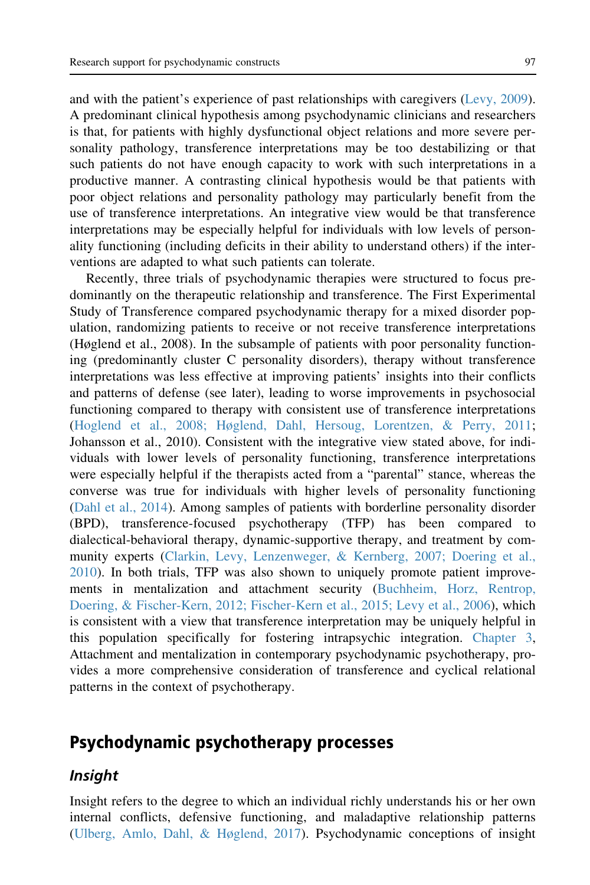and with the patient's experience of past relationships with caregivers (Levy, 2009). A predominant clinical hypothesis among psychodynamic clinicians and researchers is that, for patients with highly dysfunctional object relations and more severe personality pathology, transference interpretations may be too destabilizing or that such patients do not have enough capacity to work with such interpretations in a productive manner. A contrasting clinical hypothesis would be that patients with poor object relations and personality pathology may particularly benefit from the use of transference interpretations. An integrative view would be that transference interpretations may be especially helpful for individuals with low levels of personality functioning (including deficits in their ability to understand others) if the interventions are adapted to what such patients can tolerate.

Recently, three trials of psychodynamic therapies were structured to focus predominantly on the therapeutic relationship and transference. The First Experimental Study of Transference compared psychodynamic therapy for a mixed disorder population, randomizing patients to receive or not receive transference interpretations (Høglend et al., 2008). In the subsample of patients with poor personality functioning (predominantly cluster C personality disorders), therapy without transference interpretations was less effective at improving patients' insights into their conflicts and patterns of defense (see later), leading to worse improvements in psychosocial functioning compared to therapy with consistent use of transference interpretations (Hoglend et al., 2008; Høglend, Dahl, Hersoug, Lorentzen, & Perry, 2011; Johansson et al., 2010). Consistent with the integrative view stated above, for individuals with lower levels of personality functioning, transference interpretations were especially helpful if the therapists acted from a "parental" stance, whereas the converse was true for individuals with higher levels of personality functioning (Dahl et al., 2014). Among samples of patients with borderline personality disorder (BPD), transference-focused psychotherapy (TFP) has been compared to dialectical-behavioral therapy, dynamic-supportive therapy, and treatment by community experts (Clarkin, Levy, Lenzenweger, & Kernberg, 2007; Doering et al., 2010). In both trials, TFP was also shown to uniquely promote patient improvements in mentalization and attachment security (Buchheim, Horz, Rentrop, Doering, & Fischer-Kern, 2012; Fischer-Kern et al., 2015; Levy et al., 2006), which is consistent with a view that transference interpretation may be uniquely helpful in this population specifically for fostering intrapsychic integration. Chapter 3, Attachment and mentalization in contemporary psychodynamic psychotherapy, provides a more comprehensive consideration of transference and cyclical relational patterns in the context of psychotherapy.

## Psychodynamic psychotherapy processes

#### Insight

Insight refers to the degree to which an individual richly understands his or her own internal conflicts, defensive functioning, and maladaptive relationship patterns (Ulberg, Amlo, Dahl, & Høglend, 2017). Psychodynamic conceptions of insight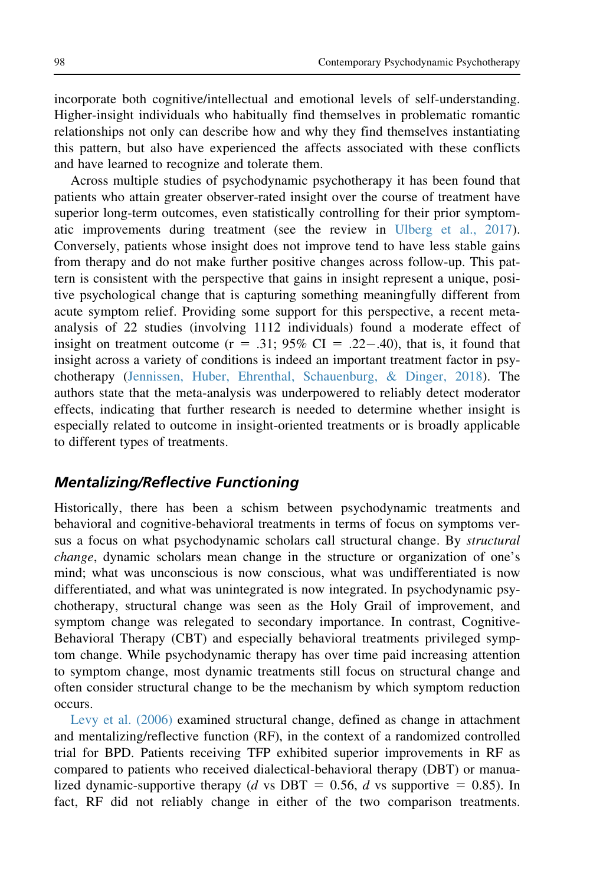incorporate both cognitive/intellectual and emotional levels of self-understanding. Higher-insight individuals who habitually find themselves in problematic romantic relationships not only can describe how and why they find themselves instantiating this pattern, but also have experienced the affects associated with these conflicts and have learned to recognize and tolerate them.

Across multiple studies of psychodynamic psychotherapy it has been found that patients who attain greater observer-rated insight over the course of treatment have superior long-term outcomes, even statistically controlling for their prior symptomatic improvements during treatment (see the review in Ulberg et al., 2017). Conversely, patients whose insight does not improve tend to have less stable gains from therapy and do not make further positive changes across follow-up. This pattern is consistent with the perspective that gains in insight represent a unique, positive psychological change that is capturing something meaningfully different from acute symptom relief. Providing some support for this perspective, a recent metaanalysis of 22 studies (involving 1112 individuals) found a moderate effect of insight on treatment outcome ( $r = .31$ ; 95% CI = .22-.40), that is, it found that insight across a variety of conditions is indeed an important treatment factor in psychotherapy (Jennissen, Huber, Ehrenthal, Schauenburg, & Dinger, 2018). The authors state that the meta-analysis was underpowered to reliably detect moderator effects, indicating that further research is needed to determine whether insight is especially related to outcome in insight-oriented treatments or is broadly applicable to different types of treatments.

#### Mentalizing/Reflective Functioning

Historically, there has been a schism between psychodynamic treatments and behavioral and cognitive-behavioral treatments in terms of focus on symptoms versus a focus on what psychodynamic scholars call structural change. By structural change, dynamic scholars mean change in the structure or organization of one's mind; what was unconscious is now conscious, what was undifferentiated is now differentiated, and what was unintegrated is now integrated. In psychodynamic psychotherapy, structural change was seen as the Holy Grail of improvement, and symptom change was relegated to secondary importance. In contrast, Cognitive-Behavioral Therapy (CBT) and especially behavioral treatments privileged symptom change. While psychodynamic therapy has over time paid increasing attention to symptom change, most dynamic treatments still focus on structural change and often consider structural change to be the mechanism by which symptom reduction occurs.

Levy et al. (2006) examined structural change, defined as change in attachment and mentalizing/reflective function (RF), in the context of a randomized controlled trial for BPD. Patients receiving TFP exhibited superior improvements in RF as compared to patients who received dialectical-behavioral therapy (DBT) or manualized dynamic-supportive therapy (d vs DBT = 0.56, d vs supportive = 0.85). In fact, RF did not reliably change in either of the two comparison treatments.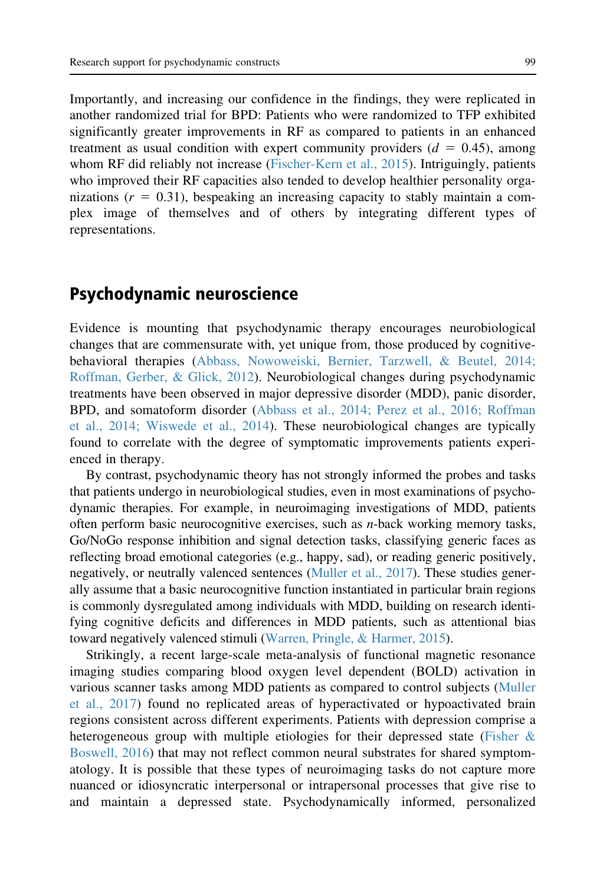Importantly, and increasing our confidence in the findings, they were replicated in another randomized trial for BPD: Patients who were randomized to TFP exhibited significantly greater improvements in RF as compared to patients in an enhanced treatment as usual condition with expert community providers  $(d = 0.45)$ , among whom RF did reliably not increase (Fischer-Kern et al., 2015). Intriguingly, patients who improved their RF capacities also tended to develop healthier personality organizations ( $r = 0.31$ ), bespeaking an increasing capacity to stably maintain a complex image of themselves and of others by integrating different types of representations.

## Psychodynamic neuroscience

Evidence is mounting that psychodynamic therapy encourages neurobiological changes that are commensurate with, yet unique from, those produced by cognitivebehavioral therapies (Abbass, Nowoweiski, Bernier, Tarzwell, & Beutel, 2014; Roffman, Gerber, & Glick, 2012). Neurobiological changes during psychodynamic treatments have been observed in major depressive disorder (MDD), panic disorder, BPD, and somatoform disorder (Abbass et al., 2014; Perez et al., 2016; Roffman et al., 2014; Wiswede et al., 2014). These neurobiological changes are typically found to correlate with the degree of symptomatic improvements patients experienced in therapy.

By contrast, psychodynamic theory has not strongly informed the probes and tasks that patients undergo in neurobiological studies, even in most examinations of psychodynamic therapies. For example, in neuroimaging investigations of MDD, patients often perform basic neurocognitive exercises, such as  $n$ -back working memory tasks, Go/NoGo response inhibition and signal detection tasks, classifying generic faces as reflecting broad emotional categories (e.g., happy, sad), or reading generic positively, negatively, or neutrally valenced sentences (Muller et al., 2017). These studies generally assume that a basic neurocognitive function instantiated in particular brain regions is commonly dysregulated among individuals with MDD, building on research identifying cognitive deficits and differences in MDD patients, such as attentional bias toward negatively valenced stimuli (Warren, Pringle, & Harmer, 2015).

Strikingly, a recent large-scale meta-analysis of functional magnetic resonance imaging studies comparing blood oxygen level dependent (BOLD) activation in various scanner tasks among MDD patients as compared to control subjects (Muller et al., 2017) found no replicated areas of hyperactivated or hypoactivated brain regions consistent across different experiments. Patients with depression comprise a heterogeneous group with multiple etiologies for their depressed state (Fisher & Boswell, 2016) that may not reflect common neural substrates for shared symptomatology. It is possible that these types of neuroimaging tasks do not capture more nuanced or idiosyncratic interpersonal or intrapersonal processes that give rise to and maintain a depressed state. Psychodynamically informed, personalized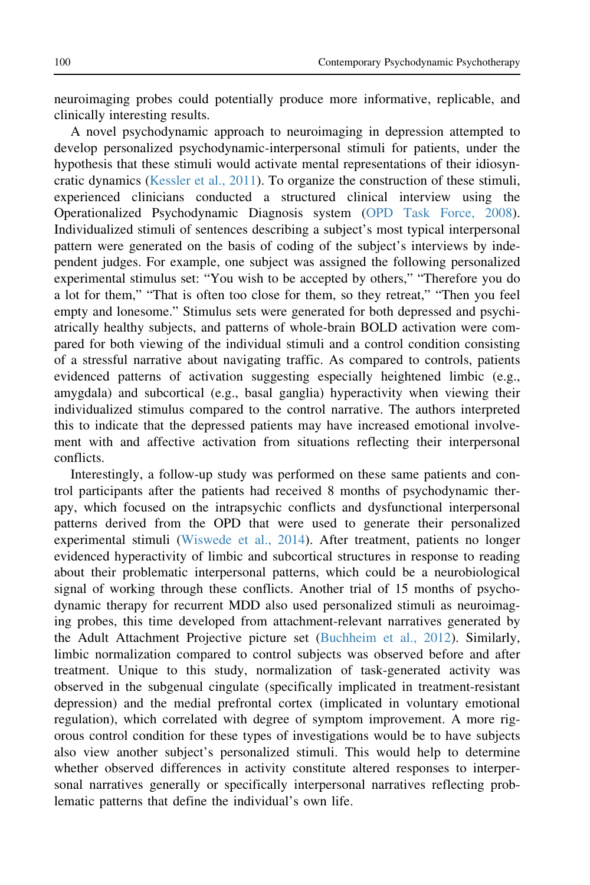neuroimaging probes could potentially produce more informative, replicable, and clinically interesting results.

A novel psychodynamic approach to neuroimaging in depression attempted to develop personalized psychodynamic-interpersonal stimuli for patients, under the hypothesis that these stimuli would activate mental representations of their idiosyncratic dynamics (Kessler et al., 2011). To organize the construction of these stimuli, experienced clinicians conducted a structured clinical interview using the Operationalized Psychodynamic Diagnosis system (OPD Task Force, 2008). Individualized stimuli of sentences describing a subject's most typical interpersonal pattern were generated on the basis of coding of the subject's interviews by independent judges. For example, one subject was assigned the following personalized experimental stimulus set: "You wish to be accepted by others," "Therefore you do a lot for them," "That is often too close for them, so they retreat," "Then you feel empty and lonesome." Stimulus sets were generated for both depressed and psychiatrically healthy subjects, and patterns of whole-brain BOLD activation were compared for both viewing of the individual stimuli and a control condition consisting of a stressful narrative about navigating traffic. As compared to controls, patients evidenced patterns of activation suggesting especially heightened limbic (e.g., amygdala) and subcortical (e.g., basal ganglia) hyperactivity when viewing their individualized stimulus compared to the control narrative. The authors interpreted this to indicate that the depressed patients may have increased emotional involvement with and affective activation from situations reflecting their interpersonal conflicts.

Interestingly, a follow-up study was performed on these same patients and control participants after the patients had received 8 months of psychodynamic therapy, which focused on the intrapsychic conflicts and dysfunctional interpersonal patterns derived from the OPD that were used to generate their personalized experimental stimuli (Wiswede et al., 2014). After treatment, patients no longer evidenced hyperactivity of limbic and subcortical structures in response to reading about their problematic interpersonal patterns, which could be a neurobiological signal of working through these conflicts. Another trial of 15 months of psychodynamic therapy for recurrent MDD also used personalized stimuli as neuroimaging probes, this time developed from attachment-relevant narratives generated by the Adult Attachment Projective picture set (Buchheim et al., 2012). Similarly, limbic normalization compared to control subjects was observed before and after treatment. Unique to this study, normalization of task-generated activity was observed in the subgenual cingulate (specifically implicated in treatment-resistant depression) and the medial prefrontal cortex (implicated in voluntary emotional regulation), which correlated with degree of symptom improvement. A more rigorous control condition for these types of investigations would be to have subjects also view another subject's personalized stimuli. This would help to determine whether observed differences in activity constitute altered responses to interpersonal narratives generally or specifically interpersonal narratives reflecting problematic patterns that define the individual's own life.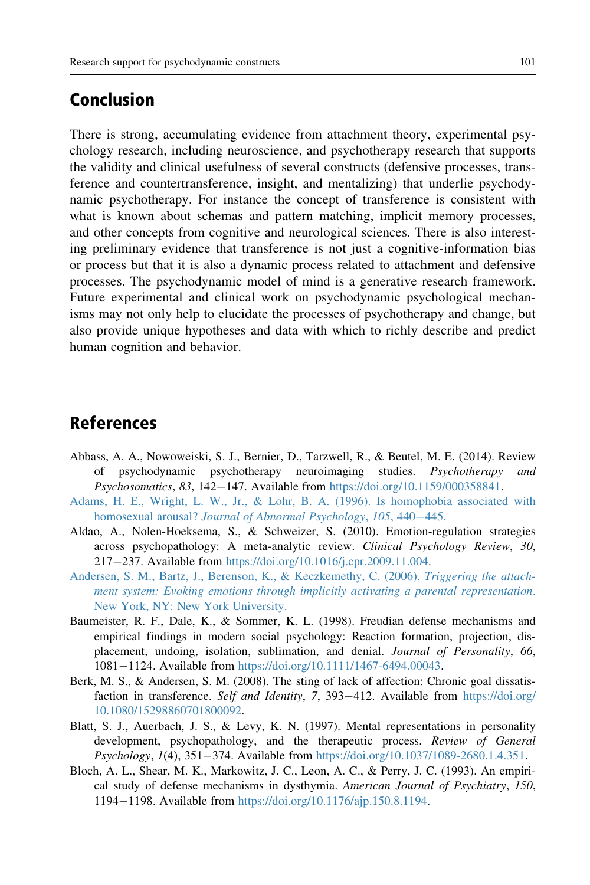#### Conclusion

There is strong, accumulating evidence from attachment theory, experimental psychology research, including neuroscience, and psychotherapy research that supports the validity and clinical usefulness of several constructs (defensive processes, transference and countertransference, insight, and mentalizing) that underlie psychodynamic psychotherapy. For instance the concept of transference is consistent with what is known about schemas and pattern matching, implicit memory processes, and other concepts from cognitive and neurological sciences. There is also interesting preliminary evidence that transference is not just a cognitive-information bias or process but that it is also a dynamic process related to attachment and defensive processes. The psychodynamic model of mind is a generative research framework. Future experimental and clinical work on psychodynamic psychological mechanisms may not only help to elucidate the processes of psychotherapy and change, but also provide unique hypotheses and data with which to richly describe and predict human cognition and behavior.

## References

- Abbass, A. A., Nowoweiski, S. J., Bernier, D., Tarzwell, R., & Beutel, M. E. (2014). Review of psychodynamic psychotherapy neuroimaging studies. Psychotherapy and  $Psychosomatics, 83, 142–147. Available from [https://doi.org/10.1159/000358841.](https://doi.org/10.1159/000358841)$  $Psychosomatics, 83, 142–147. Available from [https://doi.org/10.1159/000358841.](https://doi.org/10.1159/000358841)$
- [Adams, H. E., Wright, L. W., Jr., & Lohr, B. A. \(1996\). Is homophobia associated with](http://refhub.elsevier.com/B978-0-12-813373-6.00006-4/sbref2) homosexual arousal? [Journal of Abnormal Psychology](http://refhub.elsevier.com/B978-0-12-813373-6.00006-4/sbref2), 105, 440-[445.](http://refhub.elsevier.com/B978-0-12-813373-6.00006-4/sbref2)
- Aldao, A., Nolen-Hoeksema, S., & Schweizer, S. (2010). Emotion-regulation strategies across psychopathology: A meta-analytic review. Clinical Psychology Review, 30, 217-237. Available from [https://doi.org/10.1016/j.cpr.2009.11.004.](https://doi.org/10.1016/j.cpr.2009.11.004)
- [Andersen, S. M., Bartz, J., Berenson, K., & Keczkemethy, C. \(2006\).](http://refhub.elsevier.com/B978-0-12-813373-6.00006-4/sbref4) Triggering the attach[ment system: Evoking emotions through implicitly activating a parental representation](http://refhub.elsevier.com/B978-0-12-813373-6.00006-4/sbref4). [New York, NY: New York University.](http://refhub.elsevier.com/B978-0-12-813373-6.00006-4/sbref4)
- Baumeister, R. F., Dale, K., & Sommer, K. L. (1998). Freudian defense mechanisms and empirical findings in modern social psychology: Reaction formation, projection, displacement, undoing, isolation, sublimation, and denial. Journal of Personality, 66, 1081-1124. Available from [https://doi.org/10.1111/1467-6494.00043.](https://doi.org/10.1111/1467-6494.00043)
- Berk, M. S., & Andersen, S. M. (2008). The sting of lack of affection: Chronic goal dissatisfaction in transference. Self and Identity, 7, 393-412. Available from [https://doi.org/](https://doi.org/10.1080/15298860701800092) [10.1080/15298860701800092.](https://doi.org/10.1080/15298860701800092)
- Blatt, S. J., Auerbach, J. S., & Levy, K. N. (1997). Mental representations in personality development, psychopathology, and the therapeutic process. Review of General Psychology, 1(4), 351-374. Available from <https://doi.org/10.1037/1089-2680.1.4.351>.
- Bloch, A. L., Shear, M. K., Markowitz, J. C., Leon, A. C., & Perry, J. C. (1993). An empirical study of defense mechanisms in dysthymia. American Journal of Psychiatry, 150, 1194-1198. Available from [https://doi.org/10.1176/ajp.150.8.1194.](https://doi.org/10.1176/ajp.150.8.1194)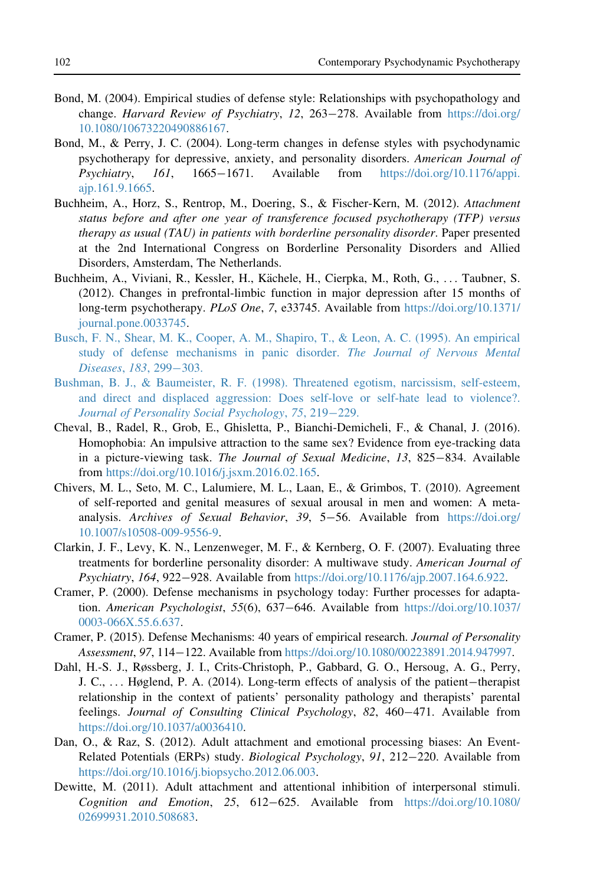- Bond, M. (2004). Empirical studies of defense style: Relationships with psychopathology and change. Harvard Review of Psychiatry, 12, 263-278. Available from [https://doi.org/](https://doi.org/10.1080/10673220490886167) [10.1080/10673220490886167](https://doi.org/10.1080/10673220490886167).
- Bond, M., & Perry, J. C. (2004). Long-term changes in defense styles with psychodynamic psychotherapy for depressive, anxiety, and personality disorders. American Journal of Psychiatry, 161, 1665-1671. Available from [https://doi.org/10.1176/appi.](https://doi.org/10.1176/appi.ajp.161.9.1665) [ajp.161.9.1665](https://doi.org/10.1176/appi.ajp.161.9.1665).
- Buchheim, A., Horz, S., Rentrop, M., Doering, S., & Fischer-Kern, M. (2012). Attachment status before and after one year of transference focused psychotherapy (TFP) versus therapy as usual (TAU) in patients with borderline personality disorder. Paper presented at the 2nd International Congress on Borderline Personality Disorders and Allied Disorders, Amsterdam, The Netherlands.
- Buchheim, A., Viviani, R., Kessler, H., Kächele, H., Cierpka, M., Roth, G., ... Taubner, S. (2012). Changes in prefrontal-limbic function in major depression after 15 months of long-term psychotherapy. PLoS One, 7, e33745. Available from [https://doi.org/10.1371/](https://doi.org/10.1371/journal.pone.0033745) [journal.pone.0033745](https://doi.org/10.1371/journal.pone.0033745).
- [Busch, F. N., Shear, M. K., Cooper, A. M., Shapiro, T., & Leon, A. C. \(1995\). An empirical](http://refhub.elsevier.com/B978-0-12-813373-6.00006-4/sbref12) [study of defense mechanisms in panic disorder.](http://refhub.elsevier.com/B978-0-12-813373-6.00006-4/sbref12) The Journal of Nervous Mental [Diseases](http://refhub.elsevier.com/B978-0-12-813373-6.00006-4/sbref12), 183, 299–[303.](http://refhub.elsevier.com/B978-0-12-813373-6.00006-4/sbref12)
- [Bushman, B. J., & Baumeister, R. F. \(1998\). Threatened egotism, narcissism, self-esteem,](http://refhub.elsevier.com/B978-0-12-813373-6.00006-4/sbref13) [and direct and displaced aggression: Does self-love or self-hate lead to violence?.](http://refhub.elsevier.com/B978-0-12-813373-6.00006-4/sbref13) [Journal of Personality Social Psychology](http://refhub.elsevier.com/B978-0-12-813373-6.00006-4/sbref13), 75, 219–[229.](http://refhub.elsevier.com/B978-0-12-813373-6.00006-4/sbref13)
- Cheval, B., Radel, R., Grob, E., Ghisletta, P., Bianchi-Demicheli, F., & Chanal, J. (2016). Homophobia: An impulsive attraction to the same sex? Evidence from eye-tracking data in a picture-viewing task. The Journal of Sexual Medicine,  $13$ ,  $825-834$ . Available from [https://doi.org/10.1016/j.jsxm.2016.02.165.](https://doi.org/10.1016/j.jsxm.2016.02.165)
- Chivers, M. L., Seto, M. C., Lalumiere, M. L., Laan, E., & Grimbos, T. (2010). Agreement of self-reported and genital measures of sexual arousal in men and women: A metaanalysis. Archives of Sexual Behavior, 39, 5-56. Available from [https://doi.org/](https://doi.org/10.1007/s10508-009-9556-9) [10.1007/s10508-009-9556-9.](https://doi.org/10.1007/s10508-009-9556-9)
- Clarkin, J. F., Levy, K. N., Lenzenweger, M. F., & Kernberg, O. F. (2007). Evaluating three treatments for borderline personality disorder: A multiwave study. American Journal of Psychiatry, 164, 922–928. Available from [https://doi.org/10.1176/ajp.2007.164.6.922.](https://doi.org/10.1176/ajp.2007.164.6.922)
- Cramer, P. (2000). Defense mechanisms in psychology today: Further processes for adaptation. American Psychologist, 55(6), 637-646. Available from [https://doi.org/10.1037/](https://doi.org/10.1037/0003-066X.55.6.637) [0003-066X.55.6.637](https://doi.org/10.1037/0003-066X.55.6.637).
- Cramer, P. (2015). Defense Mechanisms: 40 years of empirical research. Journal of Personality Assessment, 97, 114-122. Available from [https://doi.org/10.1080/00223891.2014.947997.](https://doi.org/10.1080/00223891.2014.947997)
- Dahl, H.-S. J., Røssberg, J. I., Crits-Christoph, P., Gabbard, G. O., Hersoug, A. G., Perry, J. C.,  $\dots$  Høglend, P. A. (2014). Long-term effects of analysis of the patient-therapist relationship in the context of patients' personality pathology and therapists' parental feelings. Journal of Consulting Clinical Psychology, 82, 460-471. Available from [https://doi.org/10.1037/a0036410.](https://doi.org/10.1037/a0036410)
- Dan, O., & Raz, S. (2012). Adult attachment and emotional processing biases: An Event-Related Potentials (ERPs) study. Biological Psychology, 91, 212-220. Available from <https://doi.org/10.1016/j.biopsycho.2012.06.003>.
- Dewitte, M. (2011). Adult attachment and attentional inhibition of interpersonal stimuli. Cognition and Emotion, 25, 612-625. Available from [https://doi.org/10.1080/](https://doi.org/10.1080/02699931.2010.508683) [02699931.2010.508683.](https://doi.org/10.1080/02699931.2010.508683)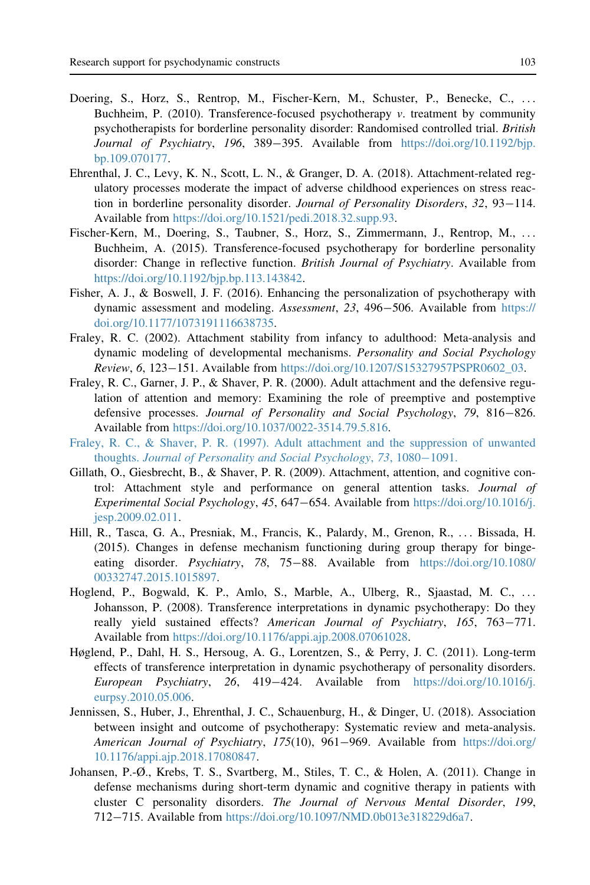- Doering, S., Horz, S., Rentrop, M., Fischer-Kern, M., Schuster, P., Benecke, C., ... Buchheim, P. (2010). Transference-focused psychotherapy  $\nu$ . treatment by community psychotherapists for borderline personality disorder: Randomised controlled trial. British Journal of Psychiatry, 196, 389-395. Available from [https://doi.org/10.1192/bjp.](https://doi.org/10.1192/bjp.bp.109.070177) [bp.109.070177.](https://doi.org/10.1192/bjp.bp.109.070177)
- Ehrenthal, J. C., Levy, K. N., Scott, L. N., & Granger, D. A. (2018). Attachment-related regulatory processes moderate the impact of adverse childhood experiences on stress reaction in borderline personality disorder. Journal of Personality Disorders, 32, 93–114. Available from [https://doi.org/10.1521/pedi.2018.32.supp.93.](https://doi.org/10.1521/pedi.2018.32.supp.93)
- Fischer-Kern, M., Doering, S., Taubner, S., Horz, S., Zimmermann, J., Rentrop, M., ... Buchheim, A. (2015). Transference-focused psychotherapy for borderline personality disorder: Change in reflective function. British Journal of Psychiatry. Available from <https://doi.org/10.1192/bjp.bp.113.143842>.
- Fisher, A. J., & Boswell, J. F. (2016). Enhancing the personalization of psychotherapy with dynamic assessment and modeling. Assessment, 23, 496-506. Available from [https://](https://doi.org/10.1177/1073191116638735) [doi.org/10.1177/1073191116638735.](https://doi.org/10.1177/1073191116638735)
- Fraley, R. C. (2002). Attachment stability from infancy to adulthood: Meta-analysis and dynamic modeling of developmental mechanisms. Personality and Social Psychology Review, 6, 123-151. Available from [https://doi.org/10.1207/S15327957PSPR0602\\_03](https://doi.org/10.1207/S15327957PSPR0602_03).
- Fraley, R. C., Garner, J. P., & Shaver, P. R. (2000). Adult attachment and the defensive regulation of attention and memory: Examining the role of preemptive and postemptive defensive processes. Journal of Personality and Social Psychology, 79, 816–826. Available from [https://doi.org/10.1037/0022-3514.79.5.816.](https://doi.org/10.1037/0022-3514.79.5.816)
- [Fraley, R. C., & Shaver, P. R. \(1997\). Adult attachment and the suppression of unwanted](http://refhub.elsevier.com/B978-0-12-813373-6.00006-4/sbref28) thoughts. [Journal of Personality and Social Psychology](http://refhub.elsevier.com/B978-0-12-813373-6.00006-4/sbref28), 73, 1080-[1091.](http://refhub.elsevier.com/B978-0-12-813373-6.00006-4/sbref28)
- Gillath, O., Giesbrecht, B., & Shaver, P. R. (2009). Attachment, attention, and cognitive control: Attachment style and performance on general attention tasks. Journal of Experimental Social Psychology, 45, 647–654. Available from [https://doi.org/10.1016/j.](https://doi.org/10.1016/j.jesp.2009.02.011) [jesp.2009.02.011.](https://doi.org/10.1016/j.jesp.2009.02.011)
- Hill, R., Tasca, G. A., Presniak, M., Francis, K., Palardy, M., Grenon, R., ... Bissada, H. (2015). Changes in defense mechanism functioning during group therapy for bingeeating disorder. Psychiatry, 78, 75-88. Available from [https://doi.org/10.1080/](https://doi.org/10.1080/00332747.2015.1015897) [00332747.2015.1015897.](https://doi.org/10.1080/00332747.2015.1015897)
- Hoglend, P., Bogwald, K. P., Amlo, S., Marble, A., Ulberg, R., Sjaastad, M. C., ... Johansson, P. (2008). Transference interpretations in dynamic psychotherapy: Do they really yield sustained effects? American Journal of Psychiatry, 165, 763-771. Available from [https://doi.org/10.1176/appi.ajp.2008.07061028.](https://doi.org/10.1176/appi.ajp.2008.07061028)
- Høglend, P., Dahl, H. S., Hersoug, A. G., Lorentzen, S., & Perry, J. C. (2011). Long-term effects of transference interpretation in dynamic psychotherapy of personality disorders. European Psychiatry, 26, 419–424. Available from [https://doi.org/10.1016/j.](https://doi.org/10.1016/j.eurpsy.2010.05.006) [eurpsy.2010.05.006.](https://doi.org/10.1016/j.eurpsy.2010.05.006)
- Jennissen, S., Huber, J., Ehrenthal, J. C., Schauenburg, H., & Dinger, U. (2018). Association between insight and outcome of psychotherapy: Systematic review and meta-analysis. American Journal of Psychiatry, 175(10), 961-969. Available from [https://doi.org/](https://doi.org/10.1176/appi.ajp.2018.17080847) [10.1176/appi.ajp.2018.17080847.](https://doi.org/10.1176/appi.ajp.2018.17080847)
- Johansen, P.-Ø., Krebs, T. S., Svartberg, M., Stiles, T. C., & Holen, A. (2011). Change in defense mechanisms during short-term dynamic and cognitive therapy in patients with cluster C personality disorders. The Journal of Nervous Mental Disorder, 199, 712-715. Available from <https://doi.org/10.1097/NMD.0b013e318229d6a7>.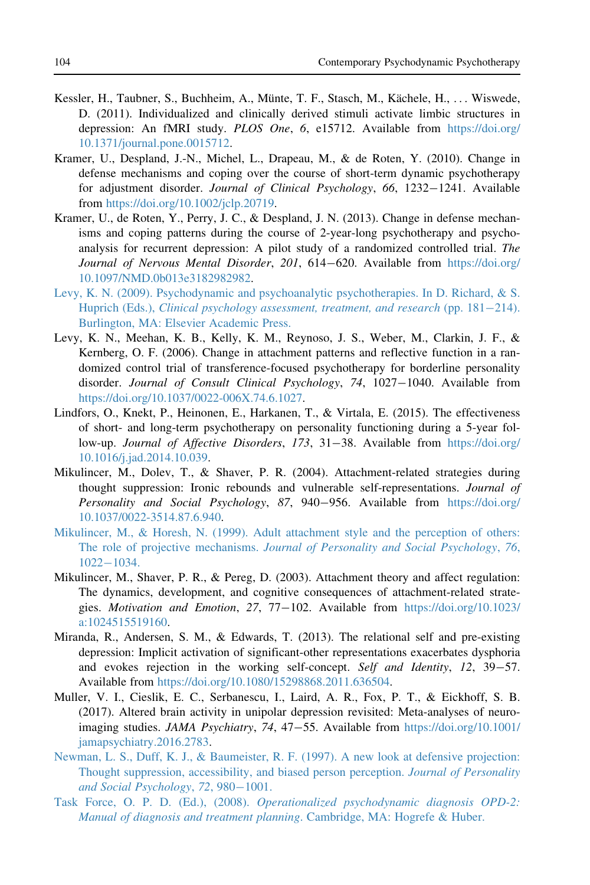- Kessler, H., Taubner, S., Buchheim, A., Münte, T. F., Stasch, M., Kächele, H., ... Wiswede, D. (2011). Individualized and clinically derived stimuli activate limbic structures in depression: An fMRI study. PLOS One, 6, e15712. Available from [https://doi.org/](https://doi.org/10.1371/journal.pone.0015712) [10.1371/journal.pone.0015712](https://doi.org/10.1371/journal.pone.0015712).
- Kramer, U., Despland, J.-N., Michel, L., Drapeau, M., & de Roten, Y. (2010). Change in defense mechanisms and coping over the course of short-term dynamic psychotherapy for adjustment disorder. Journal of Clinical Psychology, 66, 1232-1241. Available from [https://doi.org/10.1002/jclp.20719.](https://doi.org/10.1002/jclp.20719)
- Kramer, U., de Roten, Y., Perry, J. C., & Despland, J. N. (2013). Change in defense mechanisms and coping patterns during the course of 2-year-long psychotherapy and psychoanalysis for recurrent depression: A pilot study of a randomized controlled trial. The Journal of Nervous Mental Disorder, 201, 614-620. Available from [https://doi.org/](https://doi.org/10.1097/NMD.0b013e3182982982) [10.1097/NMD.0b013e3182982982.](https://doi.org/10.1097/NMD.0b013e3182982982)
- [Levy, K. N. \(2009\). Psychodynamic and psychoanalytic psychotherapies. In D. Richard, & S.](http://refhub.elsevier.com/B978-0-12-813373-6.00006-4/sbref38) Huprich (Eds.), *[Clinical psychology assessment, treatment, and research](http://refhub.elsevier.com/B978-0-12-813373-6.00006-4/sbref38)* (pp.  $181-214$ ). [Burlington, MA: Elsevier Academic Press.](http://refhub.elsevier.com/B978-0-12-813373-6.00006-4/sbref38)
- Levy, K. N., Meehan, K. B., Kelly, K. M., Reynoso, J. S., Weber, M., Clarkin, J. F., & Kernberg, O. F. (2006). Change in attachment patterns and reflective function in a randomized control trial of transference-focused psychotherapy for borderline personality disorder. Journal of Consult Clinical Psychology, 74, 1027-1040. Available from <https://doi.org/10.1037/0022-006X.74.6.1027>.
- Lindfors, O., Knekt, P., Heinonen, E., Harkanen, T., & Virtala, E. (2015). The effectiveness of short- and long-term psychotherapy on personality functioning during a 5-year follow-up. Journal of Affective Disorders, 173, 31-38. Available from [https://doi.org/](https://doi.org/10.1016/j.jad.2014.10.039) [10.1016/j.jad.2014.10.039](https://doi.org/10.1016/j.jad.2014.10.039).
- Mikulincer, M., Dolev, T., & Shaver, P. R. (2004). Attachment-related strategies during thought suppression: Ironic rebounds and vulnerable self-representations. Journal of Personality and Social Psychology, 87, 940-956. Available from [https://doi.org/](https://doi.org/10.1037/0022-3514.87.6.940) [10.1037/0022-3514.87.6.940.](https://doi.org/10.1037/0022-3514.87.6.940)
- [Mikulincer, M., & Horesh, N. \(1999\). Adult attachment style and the perception of others:](http://refhub.elsevier.com/B978-0-12-813373-6.00006-4/sbref42) The role of projective mechanisms. [Journal of Personality and Social Psychology](http://refhub.elsevier.com/B978-0-12-813373-6.00006-4/sbref42), 76,  $1022 - 1034$  $1022 - 1034$ .
- Mikulincer, M., Shaver, P. R., & Pereg, D. (2003). Attachment theory and affect regulation: The dynamics, development, and cognitive consequences of attachment-related strategies. Motivation and Emotion,  $27$ ,  $77-102$ . Available from [https://doi.org/10.1023/](https://doi.org/10.1023/a:1024515519160) [a:1024515519160](https://doi.org/10.1023/a:1024515519160).
- Miranda, R., Andersen, S. M., & Edwards, T. (2013). The relational self and pre-existing depression: Implicit activation of significant-other representations exacerbates dysphoria and evokes rejection in the working self-concept. Self and Identity, 12, 39–57. Available from <https://doi.org/10.1080/15298868.2011.636504>.
- Muller, V. I., Cieslik, E. C., Serbanescu, I., Laird, A. R., Fox, P. T., & Eickhoff, S. B. (2017). Altered brain activity in unipolar depression revisited: Meta-analyses of neuroimaging studies. JAMA Psychiatry, 74, 47–55. Available from [https://doi.org/10.1001/](https://doi.org/10.1001/jamapsychiatry.2016.2783) [jamapsychiatry.2016.2783.](https://doi.org/10.1001/jamapsychiatry.2016.2783)
- [Newman, L. S., Duff, K. J., & Baumeister, R. F. \(1997\). A new look at defensive projection:](http://refhub.elsevier.com/B978-0-12-813373-6.00006-4/sbref46) [Thought suppression, accessibility, and biased person perception.](http://refhub.elsevier.com/B978-0-12-813373-6.00006-4/sbref46) Journal of Personality [and Social Psychology](http://refhub.elsevier.com/B978-0-12-813373-6.00006-4/sbref46), 72, 980-[1001.](http://refhub.elsevier.com/B978-0-12-813373-6.00006-4/sbref46)
- Task Force, O. P. D. (Ed.), (2008). [Operationalized psychodynamic diagnosis OPD-2:](http://refhub.elsevier.com/B978-0-12-813373-6.00006-4/sbref47) [Manual of diagnosis and treatment planning](http://refhub.elsevier.com/B978-0-12-813373-6.00006-4/sbref47). Cambridge, MA: Hogrefe & Huber.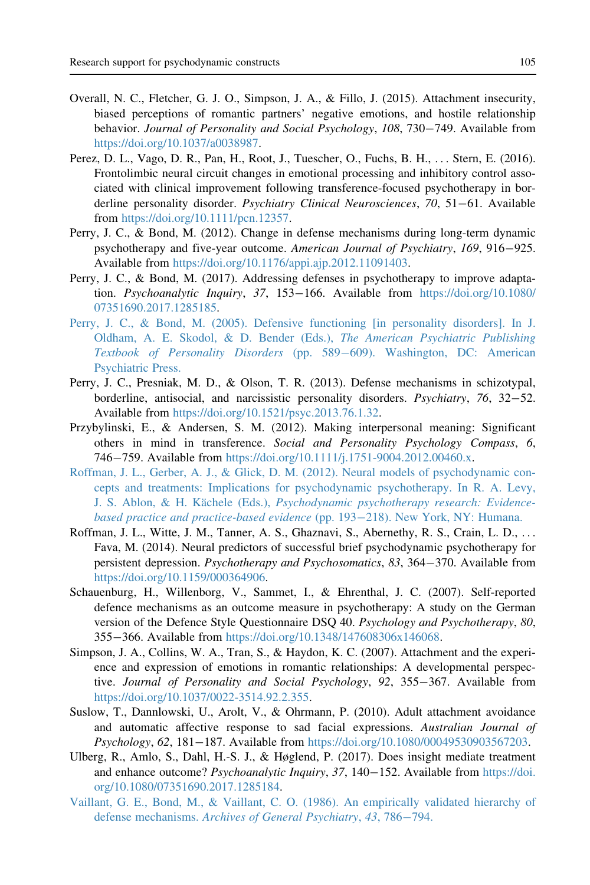- Overall, N. C., Fletcher, G. J. O., Simpson, J. A., & Fillo, J. (2015). Attachment insecurity, biased perceptions of romantic partners' negative emotions, and hostile relationship behavior. Journal of Personality and Social Psychology, 108, 730-749. Available from <https://doi.org/10.1037/a0038987>.
- Perez, D. L., Vago, D. R., Pan, H., Root, J., Tuescher, O., Fuchs, B. H., ... Stern, E. (2016). Frontolimbic neural circuit changes in emotional processing and inhibitory control associated with clinical improvement following transference-focused psychotherapy in borderline personality disorder. Psychiatry Clinical Neurosciences, 70, 51-61. Available from [https://doi.org/10.1111/pcn.12357.](https://doi.org/10.1111/pcn.12357)
- Perry, J. C., & Bond, M. (2012). Change in defense mechanisms during long-term dynamic psychotherapy and five-year outcome. American Journal of Psychiatry, 169, 916-925. Available from [https://doi.org/10.1176/appi.ajp.2012.11091403.](https://doi.org/10.1176/appi.ajp.2012.11091403)
- Perry, J. C., & Bond, M. (2017). Addressing defenses in psychotherapy to improve adaptation. Psychoanalytic Inquiry, 37, 153-166. Available from [https://doi.org/10.1080/](https://doi.org/10.1080/07351690.2017.1285185) [07351690.2017.1285185.](https://doi.org/10.1080/07351690.2017.1285185)
- [Perry, J. C., & Bond, M. \(2005\). Defensive functioning \[in personality disorders\]. In J.](http://refhub.elsevier.com/B978-0-12-813373-6.00006-4/sbref52) [Oldham, A. E. Skodol, & D. Bender \(Eds.\),](http://refhub.elsevier.com/B978-0-12-813373-6.00006-4/sbref52) The American Psychiatric Publishing [Textbook of Personality Disorders](http://refhub.elsevier.com/B978-0-12-813373-6.00006-4/sbref52) (pp. 589–[609\). Washington, DC: American](http://refhub.elsevier.com/B978-0-12-813373-6.00006-4/sbref52) [Psychiatric Press.](http://refhub.elsevier.com/B978-0-12-813373-6.00006-4/sbref52)
- Perry, J. C., Presniak, M. D., & Olson, T. R. (2013). Defense mechanisms in schizotypal, borderline, antisocial, and narcissistic personality disorders. *Psychiatry*,  $76$ ,  $32-52$ . Available from <https://doi.org/10.1521/psyc.2013.76.1.32>.
- Przybylinski, E., & Andersen, S. M. (2012). Making interpersonal meaning: Significant others in mind in transference. Social and Personality Psychology Compass, 6, 746-759. Available from <https://doi.org/10.1111/j.1751-9004.2012.00460.x>.
- [Roffman, J. L., Gerber, A. J., & Glick, D. M. \(2012\). Neural models of psychodynamic con](http://refhub.elsevier.com/B978-0-12-813373-6.00006-4/sbref55)[cepts and treatments: Implications for psychodynamic psychotherapy. In R. A. Levy,](http://refhub.elsevier.com/B978-0-12-813373-6.00006-4/sbref55) [J. S. Ablon, & H. K](http://refhub.elsevier.com/B978-0-12-813373-6.00006-4/sbref55)ächele (Eds.), [Psychodynamic psychotherapy research: Evidence](http://refhub.elsevier.com/B978-0-12-813373-6.00006-4/sbref55)[based practice and practice-based evidence](http://refhub.elsevier.com/B978-0-12-813373-6.00006-4/sbref55) (pp. 193-[218\). New York, NY: Humana.](http://refhub.elsevier.com/B978-0-12-813373-6.00006-4/sbref55)
- Roffman, J. L., Witte, J. M., Tanner, A. S., Ghaznavi, S., Abernethy, R. S., Crain, L. D., ... Fava, M. (2014). Neural predictors of successful brief psychodynamic psychotherapy for persistent depression. Psychotherapy and Psychosomatics, 83, 364-370. Available from <https://doi.org/10.1159/000364906>.
- Schauenburg, H., Willenborg, V., Sammet, I., & Ehrenthal, J. C. (2007). Self-reported defence mechanisms as an outcome measure in psychotherapy: A study on the German version of the Defence Style Questionnaire DSQ 40. Psychology and Psychotherapy, 80, 355-366. Available from [https://doi.org/10.1348/147608306x146068.](https://doi.org/10.1348/147608306x146068)
- Simpson, J. A., Collins, W. A., Tran, S., & Haydon, K. C. (2007). Attachment and the experience and expression of emotions in romantic relationships: A developmental perspective. Journal of Personality and Social Psychology, 92, 355-367. Available from <https://doi.org/10.1037/0022-3514.92.2.355>.
- Suslow, T., Dannlowski, U., Arolt, V., & Ohrmann, P. (2010). Adult attachment avoidance and automatic affective response to sad facial expressions. Australian Journal of Psychology, 62, 181-187. Available from [https://doi.org/10.1080/00049530903567203.](https://doi.org/10.1080/00049530903567203)
- Ulberg, R., Amlo, S., Dahl, H.-S. J., & Høglend, P. (2017). Does insight mediate treatment and enhance outcome? Psychoanalytic Inquiry, 37, 140-152. Available from [https://doi.](https://doi.org/10.1080/07351690.2017.1285184) [org/10.1080/07351690.2017.1285184.](https://doi.org/10.1080/07351690.2017.1285184)
- [Vaillant, G. E., Bond, M., & Vaillant, C. O. \(1986\). An empirically validated hierarchy of](http://refhub.elsevier.com/B978-0-12-813373-6.00006-4/sbref61) defense mechanisms. [Archives of General Psychiatry](http://refhub.elsevier.com/B978-0-12-813373-6.00006-4/sbref61), 43, 786–[794.](http://refhub.elsevier.com/B978-0-12-813373-6.00006-4/sbref61)